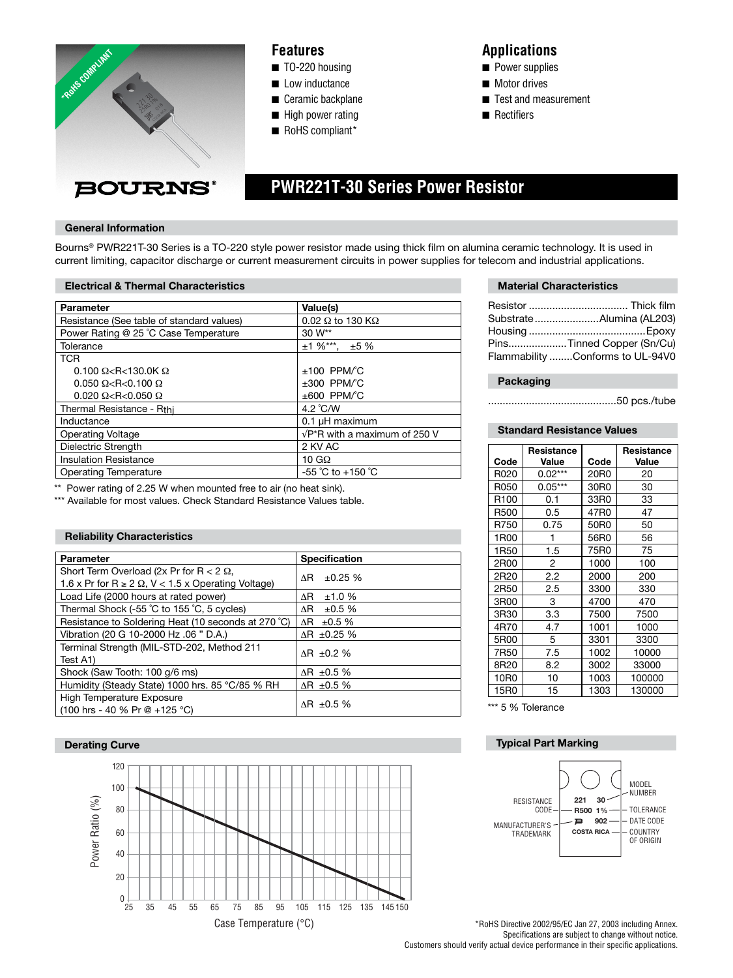

# **Features**

- TO-220 housing
- Low inductance
- Ceramic backplane
- High power rating
- RoHS compliant\*

# **Applications**

- Power supplies
- Motor drives
- Test and measurement
- Rectifiers

# **PWR221T-30 Series Power Resistor**

### **General Information**

Bourns® PWR221T-30 Series is a TO-220 style power resistor made using thick film on alumina ceramic technology. It is used in current limiting, capacitor discharge or current measurement circuits in power supplies for telecom and industrial applications.

#### **Electrical & Thermal Characteristics**

| <b>Parameter</b>                          | Value(s)                              |
|-------------------------------------------|---------------------------------------|
| Resistance (See table of standard values) | $0.02 \Omega$ to 130 K $\Omega$       |
| Power Rating @ 25 °C Case Temperature     | 30 W**                                |
| Tolerance                                 | $±1\%***$ . $±5\%$                    |
| <b>TCR</b>                                |                                       |
| $0.100 \Omega < R < 130.0K \Omega$        | $±100$ PPM/°C                         |
| $0.050 \Omega < R < 0.100 \Omega$         | $\pm 300$ PPM/°C                      |
| $0.020 \Omega < R < 0.050 \Omega$         | $\pm 600$ PPM/°C                      |
| Thermal Resistance - Rthi                 | 4.2 $^{\circ}$ C/W                    |
| Inductance                                | 0.1 µH maximum                        |
| Operating Voltage                         | $\sqrt{P^*R}$ with a maximum of 250 V |
| Dielectric Strength                       | 2 KV AC                               |
| <b>Insulation Resistance</b>              | 10 G $\Omega$                         |
| Operating Temperature                     | $-55$ °C to $+150$ °C                 |

\*\* Power rating of 2.25 W when mounted free to air (no heat sink).

\*\*\* Available for most values. Check Standard Resistance Values table.

## **Reliability Characteristics**

| Parameter                                                         | <b>Specification</b> |  |
|-------------------------------------------------------------------|----------------------|--|
| Short Term Overload (2x Pr for R $< 2 \Omega$ ,                   | ±0.25%<br>ΛR.        |  |
| 1.6 x Pr for R $\geq$ 2 $\Omega$ , V < 1.5 x Operating Voltage)   |                      |  |
| Load Life (2000 hours at rated power)                             | ΛR.<br>±1.0%         |  |
| Thermal Shock (-55 °C to 155 °C, 5 cycles)                        | ΛR.<br>±0.5%         |  |
| Resistance to Soldering Heat (10 seconds at 270 °C)               | ΛR Ξ<br>±0.5%        |  |
| Vibration (20 G 10-2000 Hz .06 " D.A.)                            | $\Delta$ R ±0.25 %   |  |
| Terminal Strength (MIL-STD-202, Method 211                        | $AR \pm 0.2 \%$      |  |
| Test A1)                                                          |                      |  |
| Shock (Saw Tooth: 100 g/6 ms)                                     | $AR \pm 0.5 \%$      |  |
| Humidity (Steady State) 1000 hrs. 85 °C/85 % RH                   | $\Delta$ R ±0.5 %    |  |
| High Temperature Exposure                                         | $\Delta$ R ±0.5 %    |  |
| $(100 \text{ hrs} - 40 \% \text{ Pr} \tQ + 125 \degree \text{C})$ |                      |  |

### **Derating Curve**



### **Material Characteristics**

| SubstrateAlumina (AL203)         |
|----------------------------------|
|                                  |
| PinsTinned Copper (Sn/Cu)        |
| Flammability Conforms to UL-94V0 |
|                                  |

# **Packaging**

............................................50 pcs./tube

# **Standard Resistance Values**

|                  | Resistance |      | Resistance |
|------------------|------------|------|------------|
| Code             | Value      | Code | Value      |
| R020             | $0.02***$  | 20R0 | 20         |
| R050             | $0.05***$  | 30R0 | 30         |
| R <sub>100</sub> | 0.1        | 33R0 | 33         |
| R500             | 0.5        | 47R0 | 47         |
| R750             | 0.75       | 50R0 | 50         |
| 1R00             | 1          | 56R0 | 56         |
| 1R <sub>50</sub> | 1.5        | 75R0 | 75         |
| 2R00             | 2          | 1000 | 100        |
| 2R20             | 2.2        | 2000 | 200        |
| 2R50             | 2.5        | 3300 | 330        |
| 3R00             | 3          | 4700 | 470        |
| 3R30             | 3.3        | 7500 | 7500       |
| 4R70             | 4.7        | 1001 | 1000       |
| 5R00             | 5          | 3301 | 3300       |
| 7R50             | 7.5        | 1002 | 10000      |
| 8R20             | 8.2        | 3002 | 33000      |
| 10R0             | 10         | 1003 | 100000     |
| 15R0             | 15         | 1303 | 130000     |

\*\*\* 5 % Tolerance

# **Typical Part Marking**



\*RoHS Directive 2002/95/EC Jan 27, 2003 including Annex. Specifications are subject to change without notice. Customers should verify actual device performance in their specific applications.